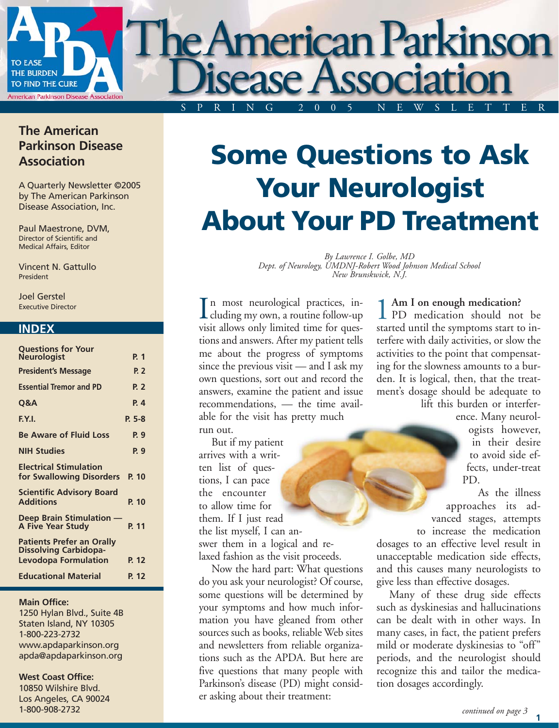

#### **The American Parkinson Disease Association**

A Quarterly Newsletter ©2005 by The American Parkinson Disease Association, Inc.

Paul Maestrone, DVM, Director of Scientific and Medical Affairs, Editor

Vincent N. Gattullo President

Joel Gerstel Executive Director

#### **INDEX**

| <b>Questions for Your</b>                                        |                |
|------------------------------------------------------------------|----------------|
| <b>Neurologist</b>                                               | P. 1           |
| <b>President's Message</b>                                       | P. 2           |
| <b>Essential Tremor and PD</b>                                   | <b>P. 2</b>    |
| Q&A                                                              | P <sub>4</sub> |
| F.Y.I.                                                           | $P. 5-8$       |
| <b>Be Aware of Fluid Loss</b>                                    | P. 9           |
| <b>NIH Studies</b>                                               | P. 9           |
| <b>Electrical Stimulation</b><br>for Swallowing Disorders        | P. 10          |
| <b>Scientific Advisory Board</b><br><b>Additions</b>             | P. 10          |
| Deep Brain Stimulation -<br><b>A Five Year Study</b>             | P. 11          |
| <b>Patients Prefer an Orally</b><br><b>Dissolving Carbidopa-</b> |                |
| <b>Levodopa Formulation</b>                                      | P. 12          |
| <b>Educational Material</b>                                      | P. 12          |

#### **Main Office:**

1250 Hylan Blvd., Suite 4B Staten Island, NY 10305 1-800-223-2732 www.apdaparkinson.org apda@apdaparkinson.org

#### **West Coast Office:**

10850 Wilshire Blvd. Los Angeles, CA 90024 1-800-908-2732

## **Some Questions to Ask Your Neurologist About Your PD Treatment**

*By Lawrence I. Golbe, MD Dept. of Neurology, UMDNJ-Robert Wood Johnson Medical School New Brunskwick, N.J.*

n most neurological practices, in-In most neurological practices, in-<br>cluding my own, a routine follow-up<br>visit allows only limited time for guess. visit allows only limited time for questions and answers. After my patient tells me about the progress of symptoms since the previous visit — and I ask my own questions, sort out and record the answers, examine the patient and issue recommendations, — the time available for the visit has pretty much run out.

But if my patient arrives with a written list of questions, I can pace the encounter to allow time for them. If I just read the list myself, I can answer them in a logical and relaxed fashion as the visit proceeds.

Now the hard part: What questions do you ask your neurologist? Of course, some questions will be determined by your symptoms and how much information you have gleaned from other sources such as books, reliable Web sites and newsletters from reliable organizations such as the APDA. But here are five questions that many people with Parkinson's disease (PD) might consider asking about their treatment:

**Am I on enough medication?** PD medication should not be started until the symptoms start to interfere with daily activities, or slow the activities to the point that compensating for the slowness amounts to a burden. It is logical, then, that the treatment's dosage should be adequate to

lift this burden or interference. Many neurol-

> ogists however, in their desire to avoid side effects, under-treat PD.

As the illness approaches its advanced stages, attempts

to increase the medication dosages to an effective level result in unacceptable medication side effects, and this causes many neurologists to give less than effective dosages.

Many of these drug side effects such as dyskinesias and hallucinations can be dealt with in other ways. In many cases, in fact, the patient prefers mild or moderate dyskinesias to "off" periods, and the neurologist should recognize this and tailor the medication dosages accordingly.

**1**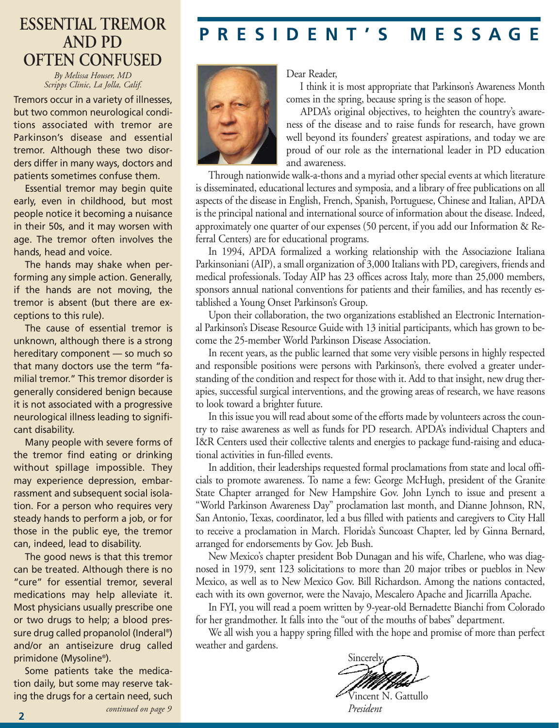## **AND PD OFTEN CONFUSED**

*By Melissa Houser, MD Scripps Clinic, La Jolla, Calif.*

Tremors occur in a variety of illnesses, but two common neurological conditions associated with tremor are Parkinson's disease and essential tremor. Although these two disorders differ in many ways, doctors and patients sometimes confuse them.

Essential tremor may begin quite early, even in childhood, but most people notice it becoming a nuisance in their 50s, and it may worsen with age. The tremor often involves the hands, head and voice.

The hands may shake when performing any simple action. Generally, if the hands are not moving, the tremor is absent (but there are exceptions to this rule).

The cause of essential tremor is unknown, although there is a strong hereditary component — so much so that many doctors use the term "familial tremor." This tremor disorder is generally considered benign because it is not associated with a progressive neurological illness leading to significant disability.

Many people with severe forms of the tremor find eating or drinking without spillage impossible. They may experience depression, embarrassment and subsequent social isolation. For a person who requires very steady hands to perform a job, or for those in the public eye, the tremor can, indeed, lead to disability.

The good news is that this tremor can be treated. Although there is no "cure" for essential tremor, several medications may help alleviate it. Most physicians usually prescribe one or two drugs to help; a blood pressure drug called propanolol (Inderal®) and/or an antiseizure drug called primidone (Mysoline®).

Some patients take the medication daily, but some may reserve taking the drugs for a certain need, such **<sup>2</sup>** *continued on page 9*

## **PRESIDENT'S MESSAGE ESSENTIAL TREMOR**



Dear Reader,

I think it is most appropriate that Parkinson's Awareness Month comes in the spring, because spring is the season of hope.

APDA's original objectives, to heighten the country's awareness of the disease and to raise funds for research, have grown well beyond its founders' greatest aspirations, and today we are proud of our role as the international leader in PD education and awareness.

Through nationwide walk-a-thons and a myriad other special events at which literature is disseminated, educational lectures and symposia, and a library of free publications on all aspects of the disease in English, French, Spanish, Portuguese, Chinese and Italian, APDA is the principal national and international source of information about the disease. Indeed, approximately one quarter of our expenses (50 percent, if you add our Information & Referral Centers) are for educational programs.

In 1994, APDA formalized a working relationship with the Associazione Italiana Parkinsoniani (AIP), a small organization of 3,000 Italians with PD, caregivers, friends and medical professionals. Today AIP has 23 offices across Italy, more than 25,000 members, sponsors annual national conventions for patients and their families, and has recently established a Young Onset Parkinson's Group.

Upon their collaboration, the two organizations established an Electronic International Parkinson's Disease Resource Guide with 13 initial participants, which has grown to become the 25-member World Parkinson Disease Association.

In recent years, as the public learned that some very visible persons in highly respected and responsible positions were persons with Parkinson's, there evolved a greater understanding of the condition and respect for those with it. Add to that insight, new drug therapies, successful surgical interventions, and the growing areas of research, we have reasons to look toward a brighter future.

In this issue you will read about some of the efforts made by volunteers across the country to raise awareness as well as funds for PD research. APDA's individual Chapters and I&R Centers used their collective talents and energies to package fund-raising and educational activities in fun-filled events.

In addition, their leaderships requested formal proclamations from state and local officials to promote awareness. To name a few: George McHugh, president of the Granite State Chapter arranged for New Hampshire Gov. John Lynch to issue and present a "World Parkinson Awareness Day" proclamation last month, and Dianne Johnson, RN, San Antonio, Texas, coordinator, led a bus filled with patients and caregivers to City Hall to receive a proclamation in March. Florida's Suncoast Chapter, led by Ginna Bernard, arranged for endorsements by Gov. Jeb Bush.

New Mexico's chapter president Bob Dunagan and his wife, Charlene, who was diagnosed in 1979, sent 123 solicitations to more than 20 major tribes or pueblos in New Mexico, as well as to New Mexico Gov. Bill Richardson. Among the nations contacted, each with its own governor, were the Navajo, Mescalero Apache and Jicarrilla Apache.

In FYI, you will read a poem written by 9-year-old Bernadette Bianchi from Colorado for her grandmother. It falls into the "out of the mouths of babes" department.

We all wish you a happy spring filled with the hope and promise of more than perfect weather and gardens.

Sincerely,

Vincent N. Gattullo *President*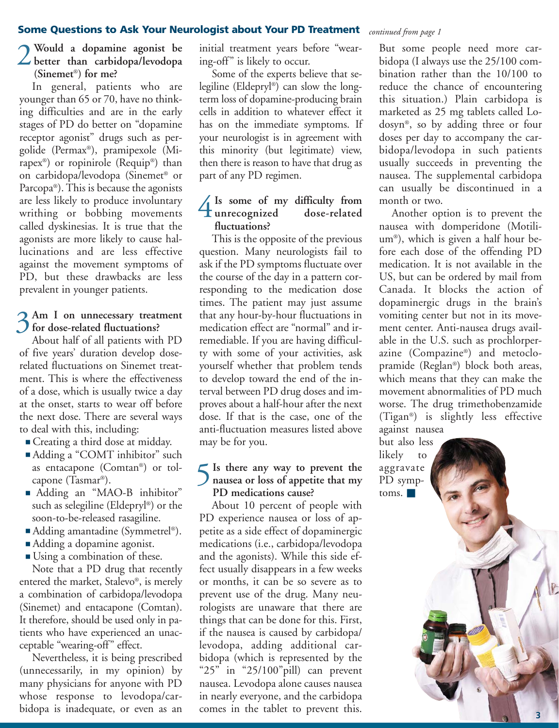#### **Some Questions to Ask Your Neurologist about Your PD Treatment** *continued from page 1*

#### **Would a dopamine agonist be better** than carbidopa/levodopa **(Sinemet**®**) for me?**

In general, patients who are younger than 65 or 70, have no thinking difficulties and are in the early stages of PD do better on "dopamine receptor agonist" drugs such as pergolide (Permax®), pramipexole (Mirapex®) or ropinirole (Requip®) than on carbidopa/levodopa (Sinemet® or Parcopa®). This is because the agonists are less likely to produce involuntary writhing or bobbing movements called dyskinesias. It is true that the agonists are more likely to cause hallucinations and are less effective against the movement symptoms of PD, but these drawbacks are less prevalent in younger patients.

#### 3 Am I on unnecessary treatment<br>
3 for dose-related fluctuations? **for dose-related fluctuations?**

About half of all patients with PD of five years' duration develop doserelated fluctuations on Sinemet treatment. This is where the effectiveness of a dose, which is usually twice a day at the onset, starts to wear off before the next dose. There are several ways to deal with this, including:

- Creating a third dose at midday.
- Adding a "COMT inhibitor" such as entacapone (Comtan®) or tolcapone (Tasmar®).
- Adding an "MAO-B inhibitor" such as selegiline (Eldepryl®) or the soon-to-be-released rasagiline.
- Adding amantadine (Symmetrel®).
- Adding a dopamine agonist.
- Using a combination of these.

Note that a PD drug that recently entered the market, Stalevo®, is merely a combination of carbidopa/levodopa (Sinemet) and entacapone (Comtan). It therefore, should be used only in patients who have experienced an unacceptable "wearing-off" effect.

Nevertheless, it is being prescribed (unnecessarily, in my opinion) by many physicians for anyone with PD whose response to levodopa/carbidopa is inadequate, or even as an

initial treatment years before "wearing-off" is likely to occur.

Some of the experts believe that selegiline (Eldepryl®) can slow the longterm loss of dopamine-producing brain cells in addition to whatever effect it has on the immediate symptoms. If your neurologist is in agreement with this minority (but legitimate) view, then there is reason to have that drug as part of any PD regimen.

#### **Is some of my difficulty from**  <sup>1</sup> Is some of my difficulty from<br>
unrecognized dose-related<br>
ducturians **fluctuations?**

This is the opposite of the previous question. Many neurologists fail to ask if the PD symptoms fluctuate over the course of the day in a pattern corresponding to the medication dose times. The patient may just assume that any hour-by-hour fluctuations in medication effect are "normal" and irremediable. If you are having difficulty with some of your activities, ask yourself whether that problem tends to develop toward the end of the interval between PD drug doses and improves about a half-hour after the next dose. If that is the case, one of the anti-fluctuation measures listed above may be for you.

#### **Is there any way to prevent the h** Is there any way to prevent the<br>
nausea or loss of appetite that my **PD medications cause?**

About 10 percent of people with PD experience nausea or loss of appetite as a side effect of dopaminergic medications (i.e., carbidopa/levodopa and the agonists). While this side effect usually disappears in a few weeks or months, it can be so severe as to prevent use of the drug. Many neurologists are unaware that there are things that can be done for this. First, if the nausea is caused by carbidopa/ levodopa, adding additional carbidopa (which is represented by the "25" in "25/100"pill) can prevent nausea. Levodopa alone causes nausea in nearly everyone, and the carbidopa comes in the tablet to prevent this.

But some people need more carbidopa (I always use the 25/100 combination rather than the 10/100 to reduce the chance of encountering this situation.) Plain carbidopa is marketed as 25 mg tablets called Lodosyn®, so by adding three or four doses per day to accompany the carbidopa/levodopa in such patients usually succeeds in preventing the nausea. The supplemental carbidopa can usually be discontinued in a month or two.

Another option is to prevent the nausea with domperidone (Motilium®), which is given a half hour before each dose of the offending PD medication. It is not available in the US, but can be ordered by mail from Canada. It blocks the action of dopaminergic drugs in the brain's vomiting center but not in its movement center. Anti-nausea drugs available in the U.S. such as prochlorperazine (Compazine®) and metoclopramide (Reglan®) block both areas, which means that they can make the movement abnormalities of PD much worse. The drug trimethobenzamide (Tigan®) is slightly less effective against nausea

but also less likely to aggravate PD symptoms. ■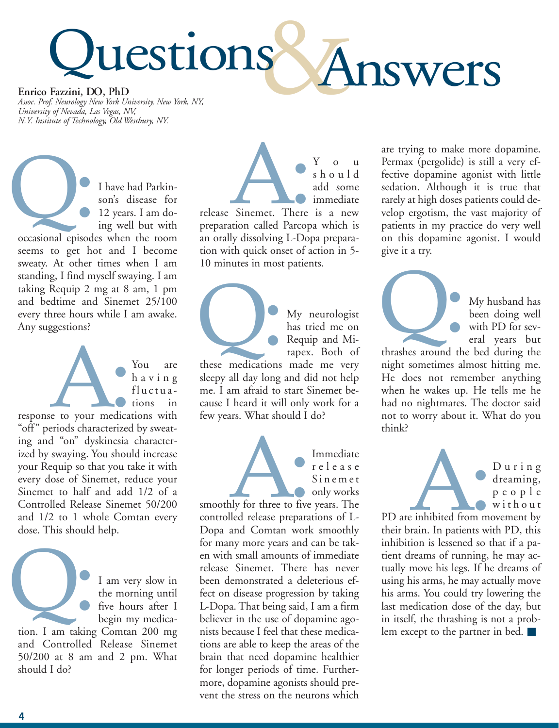# uestions Answers **Enrico Fazzini, DO, PhD**

*Assoc. Prof. Neurology New York University, New York, NY, University of Nevada, Las Vegas, NV, N.Y. Institute of Technology, Old Westbury, NY.*

I have had Parkinson's disease for 12 years. I am doing well but with I have had Parkinson's disease for<br>
12 years. I am do-<br>
ing well but with<br>
occasional episodes when the room

seems to get hot and I become sweaty. At other times when I am standing, I find myself swaying. I am taking Requip 2 mg at 8 am, 1 pm and bedtime and Sinemet 25/100 every three hours while I am awake. Any suggestions?

> You are having fluctuations in

response to your medications with "off" periods characterized by sweating and "on" dyskinesia characterized by swaying. You should increase your Requip so that you take it with every dose of Sinemet, reduce your Sinemet to half and add 1/2 of a Controlled Release Sinemet 50/200 and 1/2 to 1 whole Comtan every dose. This should help. e to your medical

> I am very slow in the morning until five hours after I begin my medica-

tion. I am taking Comtan 200 mg and Controlled Release Sinemet 50/200 at 8 am and 2 pm. What should I do? Q:

should add some immediate release Sinemet. There is a new preparation called Parcopa which is an orally dissolving L-Dopa preparation with quick onset of action in 5- 10 minutes in most patients. Sinemet. There

My neurologist has tried me on Requip and Mirapex. Both of My neurologist<br>has tried me on<br>Requip and Mi-<br>rapex. Both of<br>these medications made me very

You

sleepy all day long and did not help me. I am afraid to start Sinemet because I heard it will only work for a few years. What should I do?

Immediate r elease S inemet only works smoothly for three to five years. The controlled release preparations of L-Dopa and Comtan work smoothly for many more years and can be taken with small amounts of immediate release Sinemet. There has never been demonstrated a deleterious effect on disease progression by taking L-Dopa. That being said, I am a firm believer in the use of dopamine agonists because I feel that these medications are able to keep the areas of the brain that need dopamine healthier for longer periods of time. Furthermore, dopamine agonists should prevent the stress on the neurons which A:<br>Aly for three to five<br>Iled release prepara

are trying to make more dopamine. Permax (pergolide) is still a very effective dopamine agonist with little sedation. Although it is true that rarely at high doses patients could develop ergotism, the vast majority of patients in my practice do very well on this dopamine agonist. I would give it a try.



My husband has been doing well with PD for several years but

night sometimes almost hitting me. He does not remember anything when he wakes up. He tells me he had no nightmares. The doctor said not to worry about it. What do you think?



D uring dreaming, people without

PD are inhibited from movement by their brain. In patients with PD, this inhibition is lessened so that if a patient dreams of running, he may actually move his legs. If he dreams of using his arms, he may actually move his arms. You could try lowering the last medication dose of the day, but in itself, the thrashing is not a problem except to the partner in bed. ■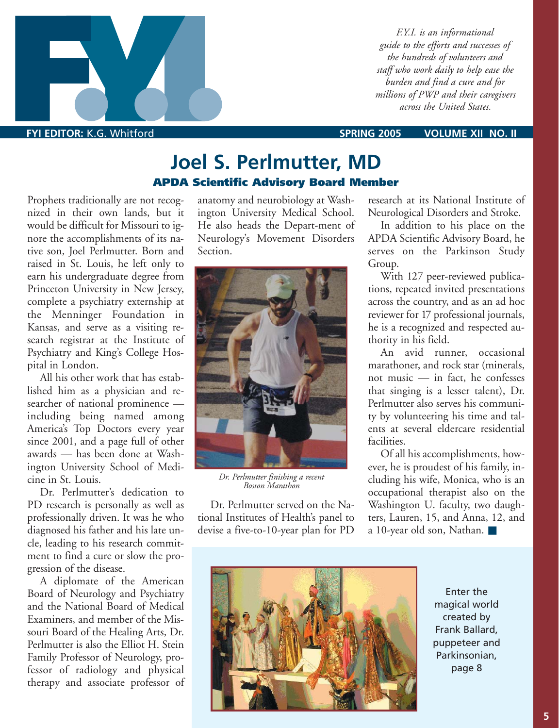

**FYI EDITOR:** K.G. Whitford **SPRING 2005 VOLUME XII NO. II**

### **Joel S. Perlmutter, MD APDA Scientific Advisory Board Member**

Prophets traditionally are not recognized in their own lands, but it would be difficult for Missouri to ignore the accomplishments of its native son, Joel Perlmutter. Born and raised in St. Louis, he left only to earn his undergraduate degree from Princeton University in New Jersey, complete a psychiatry externship at the Menninger Foundation in Kansas, and serve as a visiting research registrar at the Institute of Psychiatry and King's College Hospital in London.

All his other work that has established him as a physician and researcher of national prominence including being named among America's Top Doctors every year since 2001, and a page full of other awards — has been done at Washington University School of Medicine in St. Louis.

Dr. Perlmutter's dedication to PD research is personally as well as professionally driven. It was he who diagnosed his father and his late uncle, leading to his research commitment to find a cure or slow the progression of the disease.

A diplomate of the American Board of Neurology and Psychiatry and the National Board of Medical Examiners, and member of the Missouri Board of the Healing Arts, Dr. Perlmutter is also the Elliot H. Stein Family Professor of Neurology, professor of radiology and physical therapy and associate professor of anatomy and neurobiology at Washington University Medical School. He also heads the Depart-ment of Neurology's Movement Disorders Section.



*Dr. Perlmutter finishing a recent Boston Marathon*

Dr. Perlmutter served on the National Institutes of Health's panel to devise a five-to-10-year plan for PD

research at its National Institute of Neurological Disorders and Stroke.

In addition to his place on the APDA Scientific Advisory Board, he serves on the Parkinson Study Group.

With 127 peer-reviewed publications, repeated invited presentations across the country, and as an ad hoc reviewer for 17 professional journals, he is a recognized and respected authority in his field.

An avid runner, occasional marathoner, and rock star (minerals, not music — in fact, he confesses that singing is a lesser talent), Dr. Perlmutter also serves his community by volunteering his time and talents at several eldercare residential facilities.

Of all his accomplishments, however, he is proudest of his family, including his wife, Monica, who is an occupational therapist also on the Washington U. faculty, two daughters, Lauren, 15, and Anna, 12, and a 10-year old son, Nathan. ■



Enter the magical world created by Frank Ballard, puppeteer and Parkinsonian, page 8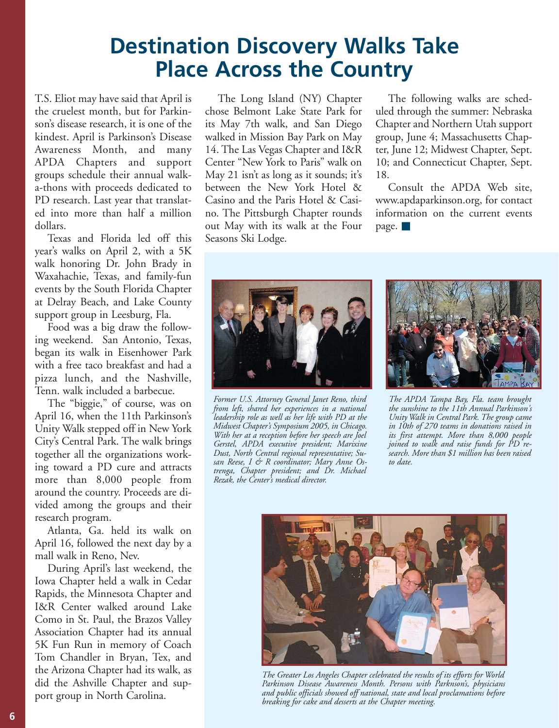## **Destination Discovery Walks Take Place Across the Country**

T.S. Eliot may have said that April is the cruelest month, but for Parkinson's disease research, it is one of the kindest. April is Parkinson's Disease Awareness Month, and many APDA Chapters and support groups schedule their annual walka-thons with proceeds dedicated to PD research. Last year that translated into more than half a million dollars.

Texas and Florida led off this year's walks on April 2, with a 5K walk honoring Dr. John Brady in Waxahachie, Texas, and family-fun events by the South Florida Chapter at Delray Beach, and Lake County support group in Leesburg, Fla.

Food was a big draw the following weekend. San Antonio, Texas, began its walk in Eisenhower Park with a free taco breakfast and had a pizza lunch, and the Nashville, Tenn. walk included a barbecue.

The "biggie," of course, was on April 16, when the 11th Parkinson's Unity Walk stepped off in New York City's Central Park. The walk brings together all the organizations working toward a PD cure and attracts more than 8,000 people from around the country. Proceeds are divided among the groups and their research program.

Atlanta, Ga. held its walk on April 16, followed the next day by a mall walk in Reno, Nev.

During April's last weekend, the Iowa Chapter held a walk in Cedar Rapids, the Minnesota Chapter and I&R Center walked around Lake Como in St. Paul, the Brazos Valley Association Chapter had its annual 5K Fun Run in memory of Coach Tom Chandler in Bryan, Tex, and the Arizona Chapter had its walk, as did the Ashville Chapter and support group in North Carolina.

The Long Island (NY) Chapter chose Belmont Lake State Park for its May 7th walk, and San Diego walked in Mission Bay Park on May 14. The Las Vegas Chapter and I&R Center "New York to Paris" walk on May 21 isn't as long as it sounds; it's between the New York Hotel & Casino and the Paris Hotel & Casino. The Pittsburgh Chapter rounds out May with its walk at the Four Seasons Ski Lodge.

The following walks are scheduled through the summer: Nebraska Chapter and Northern Utah support group, June 4; Massachusetts Chapter, June 12; Midwest Chapter, Sept. 10; and Connecticut Chapter, Sept. 18.

Consult the APDA Web site, www.apdaparkinson.org, for contact information on the current events page. ■



*Former U.S. Attorney General Janet Reno, third from left, shared her experiences in a national leadership role as well as her life with PD at the Midwest Chapter's Symposium 2005, in Chicago. With her at a reception before her speech are Joel Gerstel, APDA executive president; Marixine Dust, North Central regional representative; Susan Reese, I & R coordinator; Mary Anne Ostrenga, Chapter president; and Dr. Michael Rezak, the Center's medical director.*



*The APDA Tampa Bay, Fla. team brought the sunshine to the 11th Annual Parkinson's Unity Walk in Central Park. The group came in 10th of 270 teams in donations raised in its first attempt. More than 8,000 people joined to walk and raise funds for PD research. More than \$1 million has been raised to date.*



*The Greater Los Angeles Chapter celebrated the results of its efforts for World Parkinson Disease Awareness Month. Persons with Parknson's, physicians and public officials showed off national, state and local proclamations before breaking for cake and desserts at the Chapter meeting.*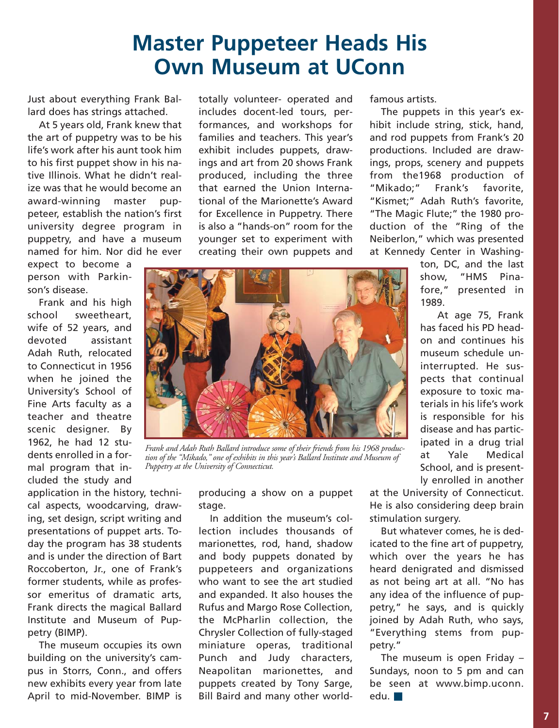### **Master Puppeteer Heads His Own Museum at UConn**

Just about everything Frank Ballard does has strings attached.

At 5 years old, Frank knew that the art of puppetry was to be his life's work after his aunt took him to his first puppet show in his native Illinois. What he didn't realize was that he would become an award-winning master puppeteer, establish the nation's first university degree program in puppetry, and have a museum named for him. Nor did he ever

expect to become a person with Parkinson's disease.

Frank and his high school sweetheart, wife of 52 years, and devoted assistant Adah Ruth, relocated to Connecticut in 1956 when he joined the University's School of Fine Arts faculty as a teacher and theatre scenic designer. By 1962, he had 12 students enrolled in a formal program that included the study and

application in the history, technical aspects, woodcarving, drawing, set design, script writing and presentations of puppet arts. Today the program has 38 students and is under the direction of Bart Roccoberton, Jr., one of Frank's former students, while as professor emeritus of dramatic arts, Frank directs the magical Ballard Institute and Museum of Puppetry (BIMP).

The museum occupies its own building on the university's campus in Storrs, Conn., and offers new exhibits every year from late April to mid-November. BIMP is totally volunteer- operated and includes docent-led tours, performances, and workshops for families and teachers. This year's exhibit includes puppets, drawings and art from 20 shows Frank produced, including the three that earned the Union International of the Marionette's Award for Excellence in Puppetry. There is also a "hands-on" room for the younger set to experiment with creating their own puppets and

famous artists.

The puppets in this year's exhibit include string, stick, hand, and rod puppets from Frank's 20 productions. Included are drawings, props, scenery and puppets from the1968 production of "Mikado;" Frank's favorite, "Kismet;" Adah Ruth's favorite, "The Magic Flute;" the 1980 production of the "Ring of the Neiberlon," which was presented at Kennedy Center in Washing-

> ton, DC, and the last show, "HMS Pinafore," presented in 1989.

> At age 75, Frank has faced his PD headon and continues his museum schedule uninterrupted. He suspects that continual exposure to toxic materials in his life's work is responsible for his disease and has participated in a drug trial at Yale Medical School, and is presently enrolled in another

*Frank and Adah Ruth Ballard introduce some of their friends from his 1968 production of the "Mikado," one of exhibits in this year's Ballard Institute and Museum of Puppetry at the University of Connecticut.*

producing a show on a puppet stage.

In addition the museum's collection includes thousands of marionettes, rod, hand, shadow and body puppets donated by puppeteers and organizations who want to see the art studied and expanded. It also houses the Rufus and Margo Rose Collection, the McPharlin collection, the Chrysler Collection of fully-staged miniature operas, traditional Punch and Judy characters, Neapolitan marionettes, and puppets created by Tony Sarge, Bill Baird and many other world-

at the University of Connecticut. He is also considering deep brain stimulation surgery.

But whatever comes, he is dedicated to the fine art of puppetry, which over the years he has heard denigrated and dismissed as not being art at all. "No has any idea of the influence of puppetry," he says, and is quickly joined by Adah Ruth, who says, "Everything stems from puppetry."

The museum is open Friday – Sundays, noon to 5 pm and can be seen at www.bimp.uconn. edu. ■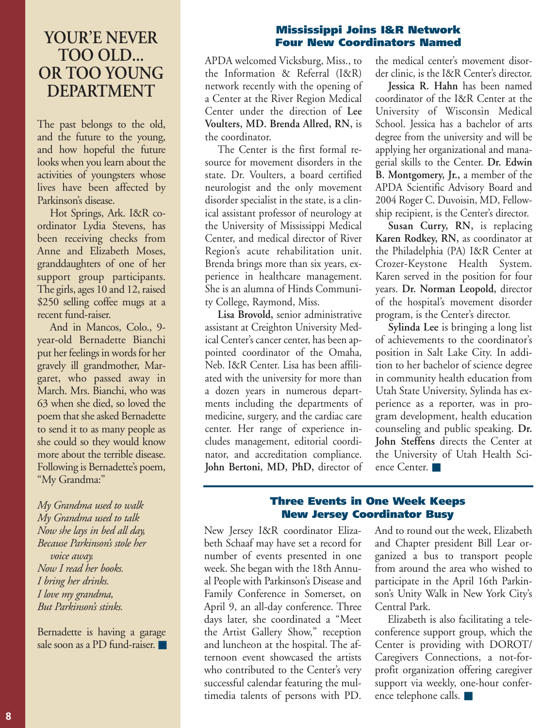### **YOUR'E NEVER TOO OLD... OR TOO YOUNG DEPARTMENT**

The past belongs to the old, and the future to the young, and how hopeful the future looks when you learn about the activities of youngsters whose lives have been affected by Parkinson's disease.

Hot Springs, Ark. I&R coordinator Lydia Stevens, has been receiving checks from Anne and Elizabeth Moses, granddaughters of one of her support group participants. The girls, ages 10 and 12, raised \$250 selling coffee mugs at a recent fund-raiser.

And in Mancos, Colo., 9 year-old Bernadette Bianchi put her feelings in words for her gravely ill grandmother, Margaret, who passed away in March. Mrs. Bianchi, who was 63 when she died, so loved the poem that she asked Bernadette to send it to as many people as she could so they would know more about the terrible disease. Following is Bernadette's poem, "My Grandma:"

*My Grandma used to walk My Grandma used to talk Now she lays in bed all day, Because Parkinson's stole her voice away. Now I read her books. I bring her drinks. I love my grandma, But Parkinson's stinks.* 

Bernadette is having a garage sale soon as a PD fund-raiser.

#### **Mississippi Joins I&R Network Four New Coordinators Named**

APDA welcomed Vicksburg, Miss., to the Information & Referral (I&R) network recently with the opening of a Center at the River Region Medical Center under the direction of **Lee Voulters, MD. Brenda Allred, RN,** is the coordinator.

The Center is the first formal resource for movement disorders in the state. Dr. Voulters, a board certified neurologist and the only movement disorder specialist in the state, is a clinical assistant professor of neurology at the University of Mississippi Medical Center, and medical director of River Region's acute rehabilitation unit. Brenda brings more than six years, experience in healthcare management. She is an alumna of Hinds Community College, Raymond, Miss.

**Lisa Brovold,** senior administrative assistant at Creighton University Medical Center's cancer center, has been appointed coordinator of the Omaha, Neb. I&R Center. Lisa has been affiliated with the university for more than a dozen years in numerous departments including the departments of medicine, surgery, and the cardiac care center. Her range of experience includes management, editorial coordinator, and accreditation compliance. **John Bertoni, MD, PhD,** director of the medical center's movement disorder clinic, is the I&R Center's director.

**Jessica R. Hahn** has been named coordinator of the I&R Center at the University of Wisconsin Medical School. Jessica has a bachelor of arts degree from the university and will be applying her organizational and managerial skills to the Center. **Dr. Edwin B. Montgomery, Jr.,** a member of the APDA Scientific Advisory Board and 2004 Roger C. Duvoisin, MD, Fellowship recipient, is the Center's director.

**Susan Curry, RN,** is replacing **Karen Rodkey, RN,** as coordinator at the Philadelphia (PA) I&R Center at Crozer-Keystone Health System. Karen served in the position for four years. **Dr. Norman Leopold,** director of the hospital's movement disorder program, is the Center's director.

**Sylinda Lee** is bringing a long list of achievements to the coordinator's position in Salt Lake City. In addition to her bachelor of science degree in community health education from Utah State University, Sylinda has experience as a reporter, was in program development, health education counseling and public speaking. **Dr. John Steffens** directs the Center at the University of Utah Health Science Center. ■

#### **Three Events in One Week Keeps New Jersey Coordinator Busy**

New Jersey I&R coordinator Elizabeth Schaaf may have set a record for number of events presented in one week. She began with the 18th Annual People with Parkinson's Disease and Family Conference in Somerset, on April 9, an all-day conference. Three days later, she coordinated a "Meet the Artist Gallery Show," reception and luncheon at the hospital. The afternoon event showcased the artists who contributed to the Center's very successful calendar featuring the multimedia talents of persons with PD.

And to round out the week, Elizabeth and Chapter president Bill Lear organized a bus to transport people from around the area who wished to participate in the April 16th Parkinson's Unity Walk in New York City's Central Park.

Elizabeth is also facilitating a teleconference support group, which the Center is providing with DOROT/ Caregivers Connections, a not-forprofit organization offering caregiver support via weekly, one-hour conference telephone calls. ■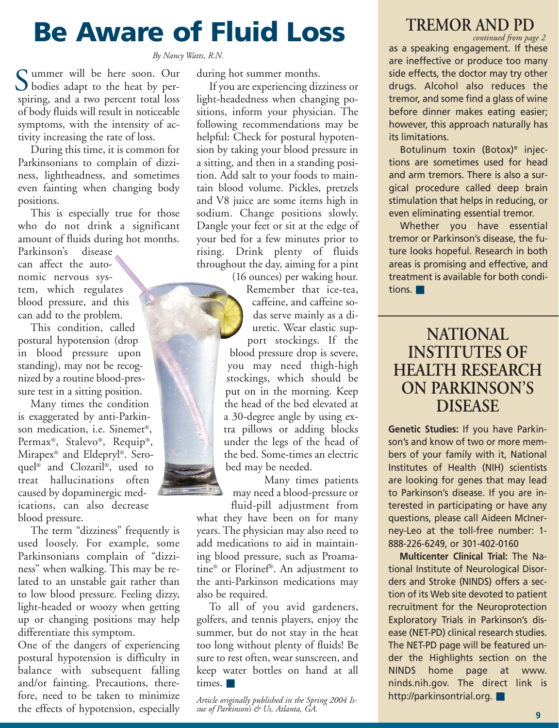## **Be Aware of Fluid Loss**

*By Nancy Watts, R.N.*

ummer will be here soon. Our Summer will be here soon. Our<br>bodies adapt to the heat by perspiring, and a two percent total loss of body fluids will result in noticeable symptoms, with the intensity of activity increasing the rate of loss.

During this time, it is common for Parkinsonians to complain of dizziness, lightheadness, and sometimes even fainting when changing body positions.

This is especially true for those who do not drink a significant amount of fluids during hot months.

Parkinson's disease can affect the autonomic nervous system, which regulates blood pressure, and this can add to the problem.

This condition, called postural hypotension (drop in blood pressure upon standing), may not be recognized by a routine blood-pressure test in a sitting position.

Many times the condition is exaggerated by anti-Parkinson medication, i.e. Sinemet®, Permax®, Stalevo®, Requip®, Mirapex® and Eldepryl®. Seroquel® and Clozaril®, used to treat hallucinations often caused by dopaminergic medications, can also decrease blood pressure.

The term "dizziness" frequently is used loosely. For example, some Parkinsonians complain of "dizziness" when walking. This may be related to an unstable gait rather than to low blood pressure. Feeling dizzy, light-headed or woozy when getting up or changing positions may help differentiate this symptom.

One of the dangers of experiencing postural hypotension is difficulty in balance with subsequent falling and/or fainting. Precautions, therefore, need to be taken to minimize the effects of hypotension, especially during hot summer months.

If you are experiencing dizziness or light-headedness when changing positions, inform your physician. The following recommendations may be helpful: Check for postural hypotension by taking your blood pressure in a sitting, and then in a standing position. Add salt to your foods to maintain blood volume. Pickles, pretzels and V8 juice are some items high in sodium. Change positions slowly. Dangle your feet or sit at the edge of your bed for a few minutes prior to rising. Drink plenty of fluids throughout the day, aiming for a pint

(16 ounces) per waking hour. Remember that ice-tea, caffeine, and caffeine sodas serve mainly as a diuretic. Wear elastic support stockings. If the blood pressure drop is severe, you may need thigh-high stockings, which should be put on in the morning. Keep the head of the bed elevated at a 30-degree angle by using extra pillows or adding blocks under the legs of the head of the bed. Some-times an electric bed may be needed.

Many times patients may need a blood-pressure or

fluid-pill adjustment from what they have been on for many years. The physician may also need to add medications to aid in maintaining blood pressure, such as Proamatine® or Florinef®. An adjustment to the anti-Parkinson medications may also be required.

To all of you avid gardeners, golfers, and tennis players, enjoy the summer, but do not stay in the heat too long without plenty of fluids! Be sure to rest often, wear sunscreen, and keep water bottles on hand at all times. ■

*Article originally published in the Spring 2004 Issue of Parkinson's & Us, Atlanta, GA.*

### **TREMOR AND PD**

as a speaking engagement. If these are ineffective or produce too many side effects, the doctor may try other drugs. Alcohol also reduces the tremor, and some find a glass of wine before dinner makes eating easier; however, this approach naturally has its limitations. *continued from page 2*

Botulinum toxin (Botox)® injections are sometimes used for head and arm tremors. There is also a surgical procedure called deep brain stimulation that helps in reducing, or even eliminating essential tremor.

Whether you have essential tremor or Parkinson's disease, the future looks hopeful. Research in both areas is promising and effective, and treatment is available for both conditions. ■

### **NATIONAL INSTITUTES OF HEALTH RESEARCH ON PARKINSON'S DISEASE**

**Genetic Studies:** If you have Parkinson's and know of two or more members of your family with it, National Institutes of Health (NIH) scientists are looking for genes that may lead to Parkinson's disease. If you are interested in participating or have any questions, please call Aideen McInerney-Leo at the toll-free number: 1- 888-226-6249, or 301-402-0160

**Multicenter Clinical Trial:** The National Institute of Neurological Disorders and Stroke (NINDS) offers a section of its Web site devoted to patient recruitment for the Neuroprotection Exploratory Trials in Parkinson's disease (NET-PD) clinical research studies. The NET-PD page will be featured under the Highlights section on the NINDS home page at www. ninds.nih.gov. The direct link is http://parkinsontrial.org. ■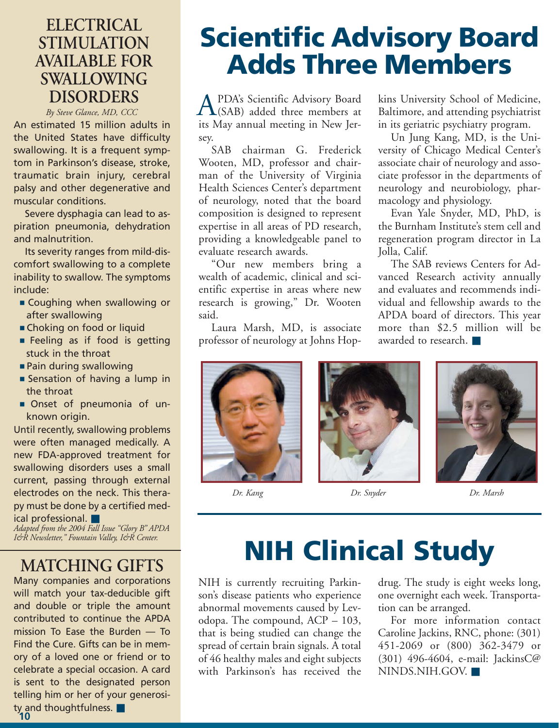### **ELECTRICAL STIMULATION AVAILABLE FOR SWALLOWING DISORDERS**

*By Steve Glance, MD, CCC*

An estimated 15 million adults in the United States have difficulty swallowing. It is a frequent symptom in Parkinson's disease, stroke, traumatic brain injury, cerebral palsy and other degenerative and muscular conditions.

Severe dysphagia can lead to aspiration pneumonia, dehydration and malnutrition.

Its severity ranges from mild-discomfort swallowing to a complete inability to swallow. The symptoms include:

- Coughing when swallowing or after swallowing
- Choking on food or liquid
- Feeling as if food is getting stuck in the throat
- Pain during swallowing
- Sensation of having a lump in the throat
- Onset of pneumonia of unknown origin.

Until recently, swallowing problems were often managed medically. A new FDA-approved treatment for swallowing disorders uses a small current, passing through external electrodes on the neck. This therapy must be done by a certified medical professional. ■

*Adapted from the 2004 Fall Issue "Glory B" APDA I&R Newsletter," Fountain Valley, I&R Center.*

### **MATCHING GIFTS**

Many companies and corporations will match your tax-deducible gift and double or triple the amount contributed to continue the APDA mission To Ease the Burden — To Find the Cure. Gifts can be in memory of a loved one or friend or to celebrate a special occasion. A card is sent to the designated person telling him or her of your generosity and thoughtfulness. ■

## **Scientific Advisory Board Adds Three Members**

PDA's Scientific Advisory Board (SAB) added three members at **A** PDA's Scientific Advisory Board<br>its May annual meeting in New Jersey.

SAB chairman G. Frederick Wooten, MD, professor and chairman of the University of Virginia Health Sciences Center's department of neurology, noted that the board composition is designed to represent expertise in all areas of PD research, providing a knowledgeable panel to evaluate research awards.

"Our new members bring a wealth of academic, clinical and scientific expertise in areas where new research is growing," Dr. Wooten said.

Laura Marsh, MD, is associate professor of neurology at Johns Hopkins University School of Medicine, Baltimore, and attending psychiatrist in its geriatric psychiatry program.

Un Jung Kang, MD, is the University of Chicago Medical Center's associate chair of neurology and associate professor in the departments of neurology and neurobiology, pharmacology and physiology.

Evan Yale Snyder, MD, PhD, is the Burnham Institute's stem cell and regeneration program director in La Jolla, Calif.

The SAB reviews Centers for Advanced Research activity annually and evaluates and recommends individual and fellowship awards to the APDA board of directors. This year more than \$2.5 million will be awarded to research. ■



*Dr. Kang Dr. Snyder Dr. Marsh*

## **NIH Clinical Study**

NIH is currently recruiting Parkinson's disease patients who experience abnormal movements caused by Levodopa. The compound, ACP – 103, that is being studied can change the spread of certain brain signals. A total of 46 healthy males and eight subjects with Parkinson's has received the drug. The study is eight weeks long, one overnight each week. Transportation can be arranged.

For more information contact Caroline Jackins, RNC, phone: (301) 451-2069 or (800) 362-3479 or (301) 496-4604, e-mail: JackinsC@ NINDS.NIH.GOV. ■

**10**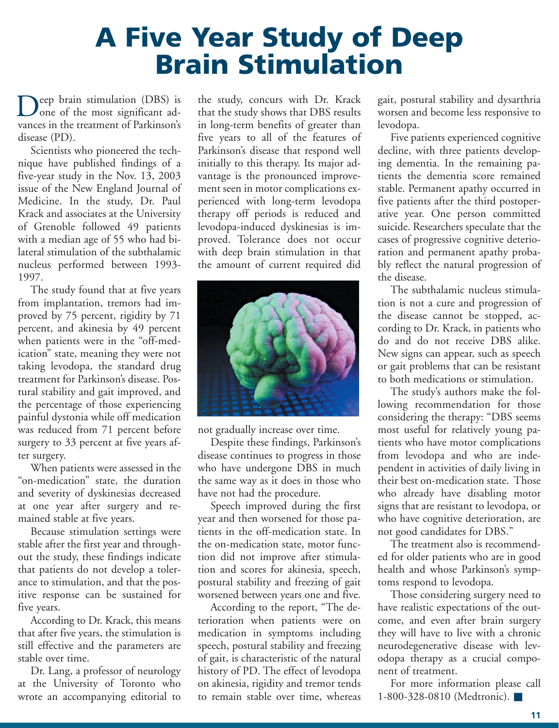## **A Five Year Study of Deep Brain Stimulation**

eep brain stimulation (DBS) is Deep brain stimulation (DBS) is<br>one of the most significant advances in the treatment of Parkinson's disease (PD).

Scientists who pioneered the technique have published findings of a five-year study in the Nov. 13, 2003 issue of the New England Journal of Medicine. In the study, Dr. Paul Krack and associates at the University of Grenoble followed 49 patients with a median age of 55 who had bilateral stimulation of the subthalamic nucleus performed between 1993- 1997.

The study found that at five years from implantation, tremors had improved by 75 percent, rigidity by 71 percent, and akinesia by 49 percent when patients were in the "off-medication" state, meaning they were not taking levodopa, the standard drug treatment for Parkinson's disease. Postural stability and gait improved, and the percentage of those experiencing painful dystonia while off medication was reduced from 71 percent before surgery to 33 percent at five years after surgery.

When patients were assessed in the "on-medication" state, the duration and severity of dyskinesias decreased at one year after surgery and remained stable at five years.

Because stimulation settings were stable after the first year and throughout the study, these findings indicate that patients do not develop a tolerance to stimulation, and that the positive response can be sustained for five years.

According to Dr. Krack, this means that after five years, the stimulation is still effective and the parameters are stable over time.

Dr. Lang, a professor of neurology at the University of Toronto who wrote an accompanying editorial to

the study, concurs with Dr. Krack that the study shows that DBS results in long-term benefits of greater than five years to all of the features of Parkinson's disease that respond well initially to this therapy. Its major advantage is the pronounced improvement seen in motor complications experienced with long-term levodopa therapy off periods is reduced and levodopa-induced dyskinesias is improved. Tolerance does not occur with deep brain stimulation in that the amount of current required did



not gradually increase over time.

Despite these findings, Parkinson's disease continues to progress in those who have undergone DBS in much the same way as it does in those who have not had the procedure.

Speech improved during the first year and then worsened for those patients in the off-medication state. In the on-medication state, motor function did not improve after stimulation and scores for akinesia, speech, postural stability and freezing of gait worsened between years one and five.

According to the report, "The deterioration when patients were on medication in symptoms including speech, postural stability and freezing of gait, is characteristic of the natural history of PD. The effect of levodopa on akinesia, rigidity and tremor tends to remain stable over time, whereas

gait, postural stability and dysarthria worsen and become less responsive to levodopa.

Five patients experienced cognitive decline, with three patients developing dementia. In the remaining patients the dementia score remained stable. Permanent apathy occurred in five patients after the third postoperative year. One person committed suicide. Researchers speculate that the cases of progressive cognitive deterioration and permanent apathy probably reflect the natural progression of the disease.

The subthalamic nucleus stimulation is not a cure and progression of the disease cannot be stopped, according to Dr. Krack, in patients who do and do not receive DBS alike. New signs can appear, such as speech or gait problems that can be resistant to both medications or stimulation.

The study's authors make the following recommendation for those considering the therapy: "DBS seems most useful for relatively young patients who have motor complications from levodopa and who are independent in activities of daily living in their best on-medication state. Those who already have disabling motor signs that are resistant to levodopa, or who have cognitive deterioration, are not good candidates for DBS."

The treatment also is recommended for older patients who are in good health and whose Parkinson's symptoms respond to levodopa.

Those considering surgery need to have realistic expectations of the outcome, and even after brain surgery they will have to live with a chronic neurodegenerative disease with levodopa therapy as a crucial component of treatment.

For more information please call 1-800-328-0810 (Medtronic). ■